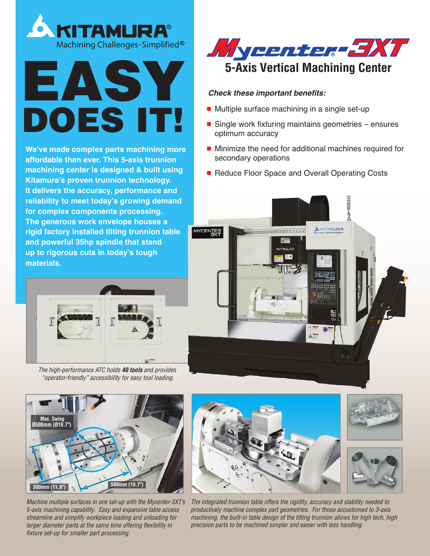



**We've made complex parts machining more affordable than ever. This 5-axis trunnion machining center is designed & built using Kitamura's proven trunnion technology. It delivers the accuracy, performance and reliability to meet today's growing demand for complex components processing. The generous work envelope houses a rigid factory installed tilting trunnion table and powerful 35hp spindle that stand up to rigorous cuts in today's tough materials.**



*The high-performance ATC holds 40 tools and provides "operator-friendly" accessibility for easy tool loading.*



*Machine multiple surfaces in one set-up with the Mycenter-3XT's 5-axis machining capability. Easy and expansive table access streamline and simplify workpiece loading and unloading for larger diameter parts at the same time offering flexibility in fixture set-up for smaller part processing.*



## *Check these important benefits:*

- Multiple surface machining in a single set-up
- Single work fixturing maintains geometries ensures optimum accuracy
- Minimize the need for additional machines required for secondary operations
- Reduce Floor Space and Overall Operating Costs





*The integrated trunnion table offers the rigidity, accuracy and stability needed to productively machine complex part geometries. For those accustomed to 3-axis machining, the built-in table design of the tilting trunnion allows for high tech, high precision parts to be machined simpler and easier with less handling.*